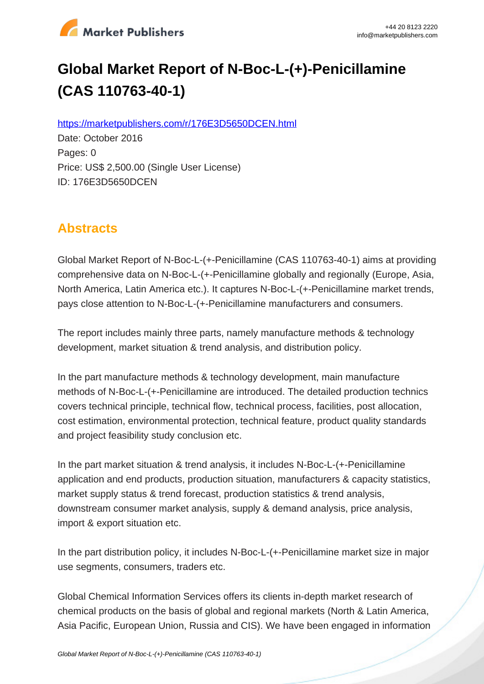

# **Global Market Report of N-Boc-L-(+)-Penicillamine (CAS 110763-40-1)**

https://marketpublishers.com/r/176E3D5650DCEN.html

Date: October 2016 Pages: 0 Price: US\$ 2,500.00 (Single User License) ID: 176E3D5650DCEN

## **Abstracts**

Global Market Report of N-Boc-L-(+-Penicillamine (CAS 110763-40-1) aims at providing comprehensive data on N-Boc-L-(+-Penicillamine globally and regionally (Europe, Asia, North America, Latin America etc.). It captures N-Boc-L-(+-Penicillamine market trends, pays close attention to N-Boc-L-(+-Penicillamine manufacturers and consumers.

The report includes mainly three parts, namely manufacture methods & technology development, market situation & trend analysis, and distribution policy.

In the part manufacture methods & technology development, main manufacture methods of N-Boc-L-(+-Penicillamine are introduced. The detailed production technics covers technical principle, technical flow, technical process, facilities, post allocation, cost estimation, environmental protection, technical feature, product quality standards and project feasibility study conclusion etc.

In the part market situation & trend analysis, it includes N-Boc-L-(+-Penicillamine application and end products, production situation, manufacturers & capacity statistics, market supply status & trend forecast, production statistics & trend analysis, downstream consumer market analysis, supply & demand analysis, price analysis, import & export situation etc.

In the part distribution policy, it includes N-Boc-L-(+-Penicillamine market size in major use segments, consumers, traders etc.

Global Chemical Information Services offers its clients in-depth market research of chemical products on the basis of global and regional markets (North & Latin America, Asia Pacific, European Union, Russia and CIS). We have been engaged in information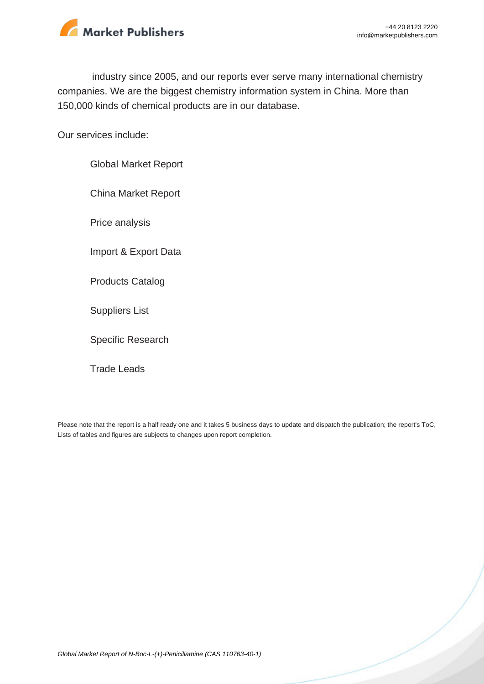

industry since 2005, and our reports ever serve many international chemistry companies. We are the biggest chemistry information system in China. More than 150,000 kinds of chemical products are in our database.

Our services include:

Global Market Report China Market Report Price analysis Import & Export Data Products Catalog Suppliers List Specific Research Trade Leads

Please note that the report is a half ready one and it takes 5 business days to update and dispatch the publication; the report's ToC, Lists of tables and figures are subjects to changes upon report completion.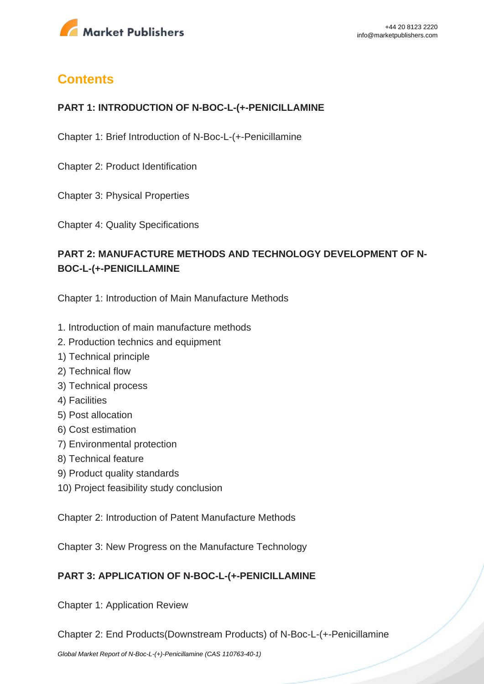

# **Contents**

#### **PART 1: INTRODUCTION OF N-BOC-L-(+-PENICILLAMINE**

Chapter 1: Brief Introduction of N-Boc-L-(+-Penicillamine

Chapter 2: Product Identification

Chapter 3: Physical Properties

Chapter 4: Quality Specifications

### **PART 2: MANUFACTURE METHODS AND TECHNOLOGY DEVELOPMENT OF N-BOC-L-(+-PENICILLAMINE**

Chapter 1: Introduction of Main Manufacture Methods

- 1. Introduction of main manufacture methods
- 2. Production technics and equipment
- 1) Technical principle
- 2) Technical flow
- 3) Technical process
- 4) Facilities
- 5) Post allocation
- 6) Cost estimation
- 7) Environmental protection
- 8) Technical feature
- 9) Product quality standards
- 10) Project feasibility study conclusion

Chapter 2: Introduction of Patent Manufacture Methods

Chapter 3: New Progress on the Manufacture Technology

#### **PART 3: APPLICATION OF N-BOC-L-(+-PENICILLAMINE**

Chapter 1: Application Review

Chapter 2: End Products(Downstream Products) of N-Boc-L-(+-Penicillamine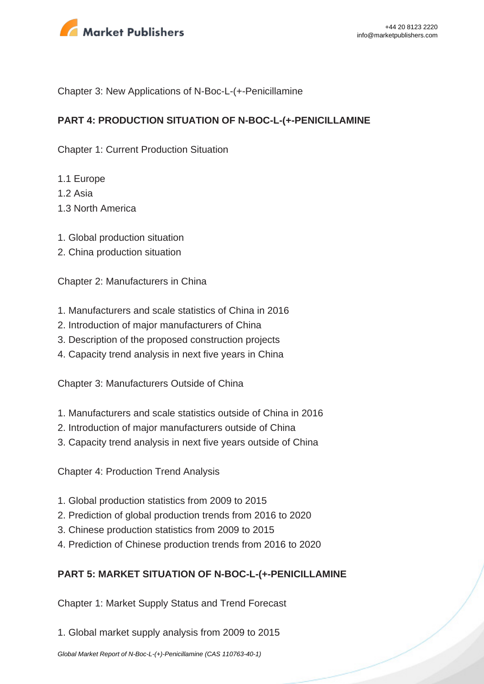

Chapter 3: New Applications of N-Boc-L-(+-Penicillamine

#### **PART 4: PRODUCTION SITUATION OF N-BOC-L-(+-PENICILLAMINE**

Chapter 1: Current Production Situation

- 1.1 Europe
- $1.2$  Asia
- 1.3 North America
- 1. Global production situation
- 2. China production situation

Chapter 2: Manufacturers in China

- 1. Manufacturers and scale statistics of China in 2016
- 2. Introduction of major manufacturers of China
- 3. Description of the proposed construction projects
- 4. Capacity trend analysis in next five years in China

Chapter 3: Manufacturers Outside of China

- 1. Manufacturers and scale statistics outside of China in 2016
- 2. Introduction of major manufacturers outside of China
- 3. Capacity trend analysis in next five years outside of China

Chapter 4: Production Trend Analysis

- 1. Global production statistics from 2009 to 2015
- 2. Prediction of global production trends from 2016 to 2020
- 3. Chinese production statistics from 2009 to 2015
- 4. Prediction of Chinese production trends from 2016 to 2020

#### **PART 5: MARKET SITUATION OF N-BOC-L-(+-PENICILLAMINE**

Chapter 1: Market Supply Status and Trend Forecast

1. Global market supply analysis from 2009 to 2015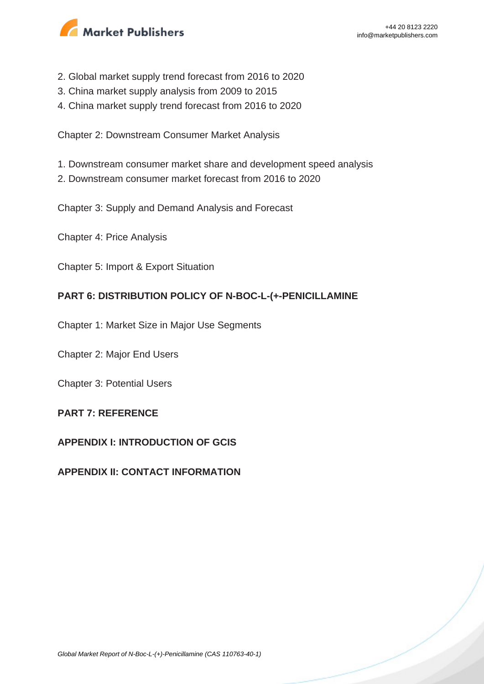

- 2. Global market supply trend forecast from 2016 to 2020
- 3. China market supply analysis from 2009 to 2015
- 4. China market supply trend forecast from 2016 to 2020

Chapter 2: Downstream Consumer Market Analysis

- 1. Downstream consumer market share and development speed analysis
- 2. Downstream consumer market forecast from 2016 to 2020

Chapter 3: Supply and Demand Analysis and Forecast

Chapter 4: Price Analysis

Chapter 5: Import & Export Situation

#### **PART 6: DISTRIBUTION POLICY OF N-BOC-L-(+-PENICILLAMINE**

Chapter 1: Market Size in Major Use Segments

Chapter 2: Major End Users

Chapter 3: Potential Users

#### **PART 7: REFERENCE**

#### **APPENDIX I: INTRODUCTION OF GCIS**

#### **APPENDIX II: CONTACT INFORMATION**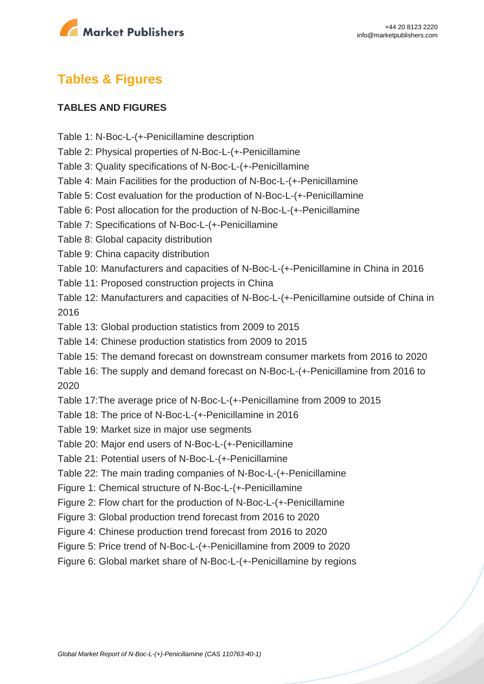

## **Tables & Figures**

#### **TABLES AND FIGURES**

- Table 1: N-Boc-L-(+-Penicillamine description
- Table 2: Physical properties of N-Boc-L-(+-Penicillamine
- Table 3: Quality specifications of N-Boc-L-(+-Penicillamine
- Table 4: Main Facilities for the production of N-Boc-L-(+-Penicillamine
- Table 5: Cost evaluation for the production of N-Boc-L-(+-Penicillamine
- Table 6: Post allocation for the production of N-Boc-L-(+-Penicillamine
- Table 7: Specifications of N-Boc-L-(+-Penicillamine
- Table 8: Global capacity distribution
- Table 9: China capacity distribution
- Table 10: Manufacturers and capacities of N-Boc-L-(+-Penicillamine in China in 2016
- Table 11: Proposed construction projects in China
- Table 12: Manufacturers and capacities of N-Boc-L-(+-Penicillamine outside of China in 2016
- Table 13: Global production statistics from 2009 to 2015
- Table 14: Chinese production statistics from 2009 to 2015
- Table 15: The demand forecast on downstream consumer markets from 2016 to 2020

Table 16: The supply and demand forecast on N-Boc-L-(+-Penicillamine from 2016 to 2020

Table 17:The average price of N-Boc-L-(+-Penicillamine from 2009 to 2015

- Table 18: The price of N-Boc-L-(+-Penicillamine in 2016
- Table 19: Market size in major use segments
- Table 20: Major end users of N-Boc-L-(+-Penicillamine
- Table 21: Potential users of N-Boc-L-(+-Penicillamine
- Table 22: The main trading companies of N-Boc-L-(+-Penicillamine
- Figure 1: Chemical structure of N-Boc-L-(+-Penicillamine
- Figure 2: Flow chart for the production of N-Boc-L-(+-Penicillamine
- Figure 3: Global production trend forecast from 2016 to 2020
- Figure 4: Chinese production trend forecast from 2016 to 2020
- Figure 5: Price trend of N-Boc-L-(+-Penicillamine from 2009 to 2020
- Figure 6: Global market share of N-Boc-L-(+-Penicillamine by regions